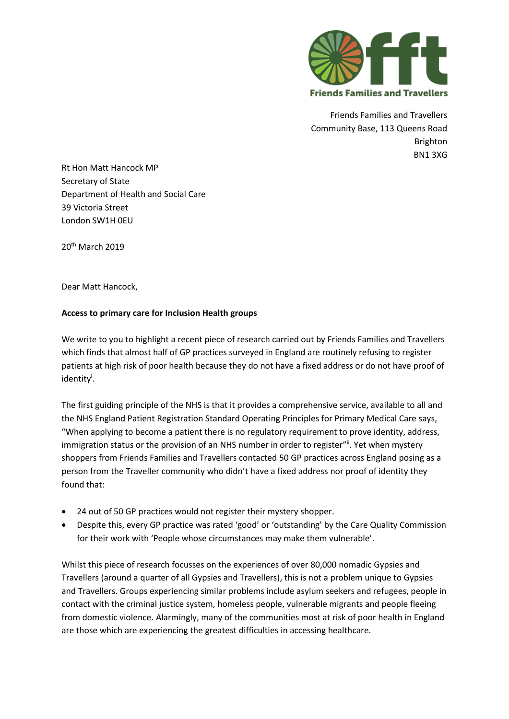

Friends Families and Travellers Community Base, 113 Queens Road Brighton BN1 3XG

Rt Hon Matt Hancock MP Secretary of State Department of Health and Social Care 39 Victoria Street London SW1H 0EU

20th March 2019

Dear Matt Hancock,

## **Access to primary care for Inclusion Health groups**

We write to you to highlight a recent piece of research carried out by Friends Families and Travellers which finds that almost half of GP practices surveyed in England are routinely refusing to register patients at high risk of poor health because they do not have a fixed address or do not have proof of identity<sup>i</sup> .

The first guiding principle of the NHS is that it provides a comprehensive service, available to all and the NHS England Patient Registration Standard Operating Principles for Primary Medical Care says, "When applying to become a patient there is no regulatory requirement to prove identity, address, immigration status or the provision of an NHS number in order to register"ii. Yet when mystery shoppers from Friends Families and Travellers contacted 50 GP practices across England posing as a person from the Traveller community who didn't have a fixed address nor proof of identity they found that:

- 24 out of 50 GP practices would not register their mystery shopper.
- Despite this, every GP practice was rated 'good' or 'outstanding' by the Care Quality Commission for their work with 'People whose circumstances may make them vulnerable'.

Whilst this piece of research focusses on the experiences of over 80,000 nomadic Gypsies and Travellers (around a quarter of all Gypsies and Travellers), this is not a problem unique to Gypsies and Travellers. Groups experiencing similar problems include asylum seekers and refugees, people in contact with the criminal justice system, homeless people, vulnerable migrants and people fleeing from domestic violence. Alarmingly, many of the communities most at risk of poor health in England are those which are experiencing the greatest difficulties in accessing healthcare.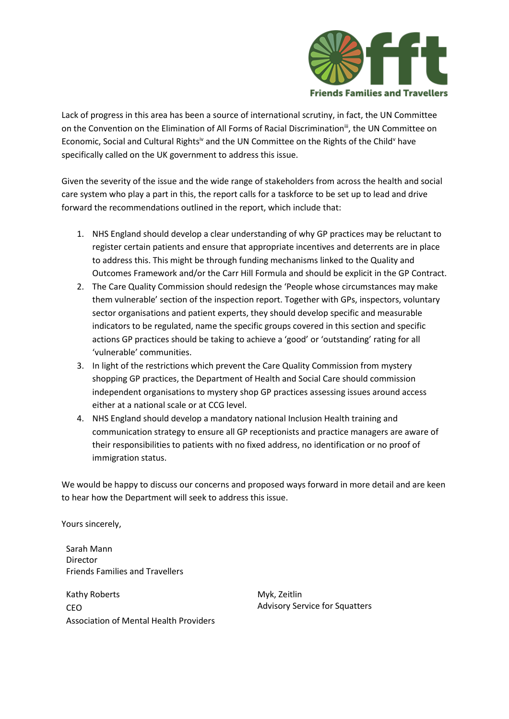

Lack of progress in this area has been a source of international scrutiny, in fact, the UN Committee on the Convention on the Elimination of All Forms of Racial Discrimination<sup>iii</sup>, the UN Committee on Economic, Social and Cultural Rights<sup>iv</sup> and the UN Committee on the Rights of the Child<sup>v</sup> have specifically called on the UK government to address this issue.

Given the severity of the issue and the wide range of stakeholders from across the health and social care system who play a part in this, the report calls for a taskforce to be set up to lead and drive forward the recommendations outlined in the report, which include that:

- 1. NHS England should develop a clear understanding of why GP practices may be reluctant to register certain patients and ensure that appropriate incentives and deterrents are in place to address this. This might be through funding mechanisms linked to the Quality and Outcomes Framework and/or the Carr Hill Formula and should be explicit in the GP Contract.
- 2. The Care Quality Commission should redesign the 'People whose circumstances may make them vulnerable' section of the inspection report. Together with GPs, inspectors, voluntary sector organisations and patient experts, they should develop specific and measurable indicators to be regulated, name the specific groups covered in this section and specific actions GP practices should be taking to achieve a 'good' or 'outstanding' rating for all 'vulnerable' communities.
- 3. In light of the restrictions which prevent the Care Quality Commission from mystery shopping GP practices, the Department of Health and Social Care should commission independent organisations to mystery shop GP practices assessing issues around access either at a national scale or at CCG level.
- 4. NHS England should develop a mandatory national Inclusion Health training and communication strategy to ensure all GP receptionists and practice managers are aware of their responsibilities to patients with no fixed address, no identification or no proof of immigration status.

We would be happy to discuss our concerns and proposed ways forward in more detail and are keen to hear how the Department will seek to address this issue.

Yours sincerely,

Sarah Mann Director Friends Families and Travellers

Kathy Roberts CEO Association of Mental Health Providers Myk, Zeitlin Advisory Service for Squatters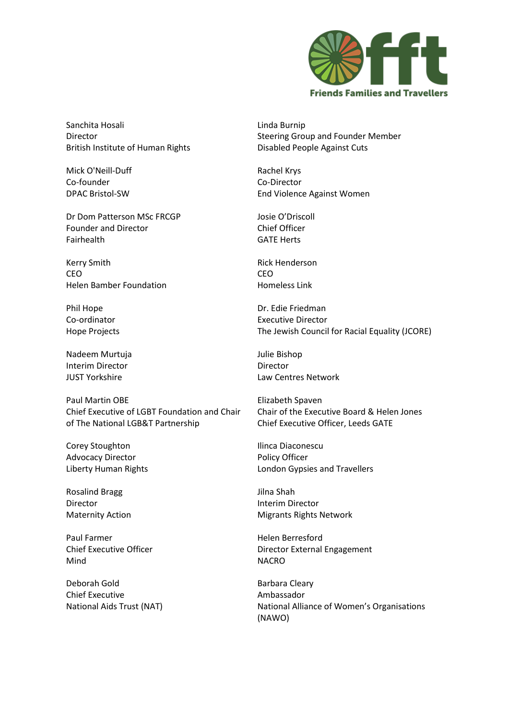

Sanchita Hosali Director British Institute of Human Rights

Mick O'Neill-Duff Co-founder DPAC Bristol-SW

Dr Dom Patterson MSc FRCGP Founder and Director Fairhealth

Kerry Smith CEO Helen Bamber Foundation

Phil Hope Co-ordinator Hope Projects

Nadeem Murtuja Interim Director JUST Yorkshire

Paul Martin OBE Chief Executive of LGBT Foundation and Chair of The National LGB&T Partnership

Corey Stoughton Advocacy Director Liberty Human Rights

Rosalind Bragg Director Maternity Action

Paul Farmer Chief Executive Officer Mind

Deborah Gold Chief Executive National Aids Trust (NAT) Linda Burnip Steering Group and Founder Member Disabled People Against Cuts

Rachel Krys Co-Director End Violence Against Women

Josie O'Driscoll Chief Officer GATE Herts

Rick Henderson CEO Homeless Link

Dr. Edie Friedman Executive Director The Jewish Council for Racial Equality (JCORE)

Julie Bishop Director Law Centres Network

Elizabeth Spaven Chair of the Executive Board & Helen Jones Chief Executive Officer, Leeds GATE

Ilinca Diaconescu Policy Officer London Gypsies and Travellers

Jilna Shah Interim Director Migrants Rights Network

Helen Berresford Director External Engagement NACRO

Barbara Cleary Ambassador National Alliance of Women's Organisations (NAWO)